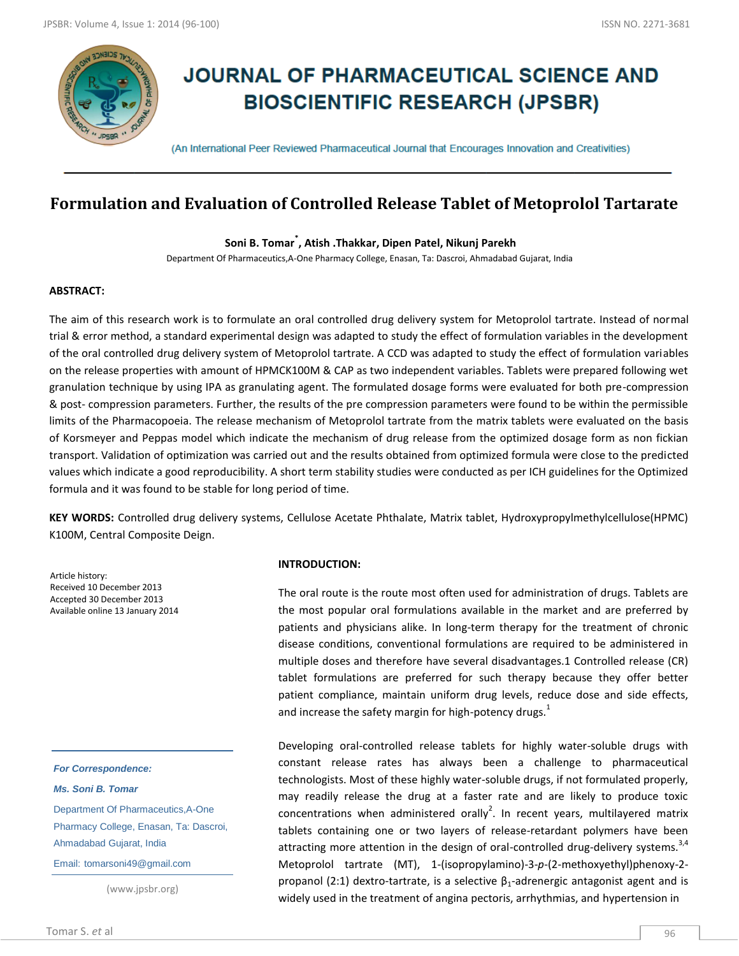

# **JOURNAL OF PHARMACEUTICAL SCIENCE AND BIOSCIENTIFIC RESEARCH (JPSBR)**

(An International Peer Reviewed Pharmaceutical Journal that Encourages Innovation and Creativities)

# **Formulation and Evaluation of Controlled Release Tablet of Metoprolol Tartarate**

**Soni B. Tomar\* , Atish .Thakkar, Dipen Patel, Nikunj Parekh**

Department Of Pharmaceutics,A-One Pharmacy College, Enasan, Ta: Dascroi, Ahmadabad Gujarat, India

#### **ABSTRACT:**

The aim of this research work is to formulate an oral controlled drug delivery system for Metoprolol tartrate. Instead of normal trial & error method, a standard experimental design was adapted to study the effect of formulation variables in the development of the oral controlled drug delivery system of Metoprolol tartrate. A CCD was adapted to study the effect of formulation variables on the release properties with amount of HPMCK100M & CAP as two independent variables. Tablets were prepared following wet granulation technique by using IPA as granulating agent. The formulated dosage forms were evaluated for both pre-compression & post- compression parameters. Further, the results of the pre compression parameters were found to be within the permissible limits of the Pharmacopoeia. The release mechanism of Metoprolol tartrate from the matrix tablets were evaluated on the basis of Korsmeyer and Peppas model which indicate the mechanism of drug release from the optimized dosage form as non fickian transport. Validation of optimization was carried out and the results obtained from optimized formula were close to the predicted values which indicate a good reproducibility. A short term stability studies were conducted as per ICH guidelines for the Optimized formula and it was found to be stable for long period of time.

**KEY WORDS:** Controlled drug delivery systems, Cellulose Acetate Phthalate, Matrix tablet, Hydroxypropylmethylcellulose(HPMC) K100M, Central Composite Deign.

Article history: Received 10 December 2013 Accepted 30 December 2013 Available online 13 January 2014

*For Correspondence:*

*Ms. Soni B. Tomar*

Department Of Pharmaceutics,A-One Pharmacy College, Enasan, Ta: Dascroi, Ahmadabad Gujarat, India

Email: tomarsoni49@gmail.com

(www.jpsbr.org)

#### **KEYWORDS:** SUPER BUG, MATRODUCTION:

The oral route is the route most often used for administration of drugs. Tablets are the most popular oral formulations available in the market and are preferred by patients and physicians alike. In long-term therapy for the treatment of chronic disease conditions, conventional formulations are required to be administered in multiple doses and therefore have several disadvantages.1 Controlled release (CR) tablet formulations are preferred for such therapy because they offer better patient compliance, maintain uniform drug levels, reduce dose and side effects, and increase the safety margin for high-potency drugs. $<sup>1</sup>$ </sup>

Developing oral-controlled release tablets for highly water-soluble drugs with constant release rates has always been a challenge to pharmaceutical technologists. Most of these highly water-soluble drugs, if not formulated properly, may readily release the drug at a faster rate and are likely to produce toxic concentrations when administered orally<sup>2</sup>. In recent years, multilayered matrix tablets containing one or two layers of release-retardant polymers have been attracting more attention in the design of oral-controlled drug-delivery systems.<sup>3,4</sup> Metoprolol tartrate (MT), 1-(isopropylamino)-3-*p*-(2-methoxyethyl)phenoxy-2 propanol (2:1) dextro-tartrate, is a selective  $β_1$ -adrenergic antagonist agent and is widely used in the treatment of angina pectoris, arrhythmias, and hypertension in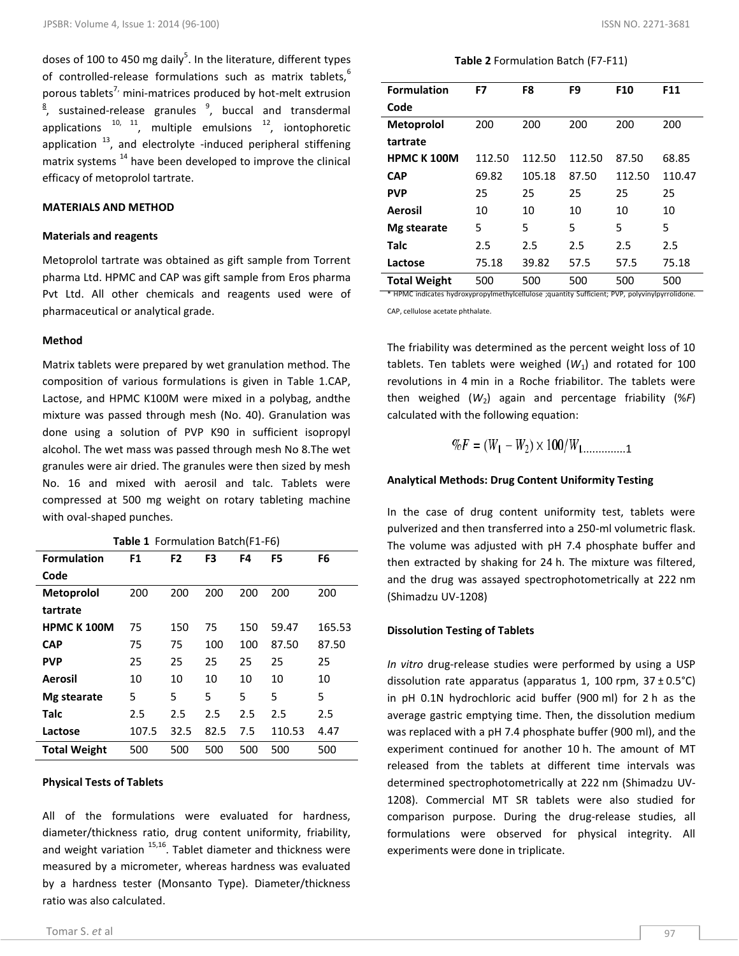doses of 100 to 450 mg daily<sup>5</sup>. In the literature, different types of controlled-release formulations such as matrix tablets.<sup>6</sup> porous tablets<sup>7,</sup> mini-matrices produced by hot-melt extrusion  $\frac{8}{7}$ , sustained-release granules  $\frac{9}{7}$ , buccal and transdermal applications  $10, 11$ , multiple emulsions  $12$ , iontophoretic application  $13$ , and electrolyte -induced peripheral stiffening matrix systems  $14$  have been developed to improve the clinical efficacy of metoprolol tartrate.

#### **MATERIALS AND METHOD**

#### **Materials and reagents**

Metoprolol tartrate was obtained as gift sample from Torrent pharma Ltd. HPMC and CAP was gift sample from Eros pharma Pvt Ltd. All other chemicals and reagents used were of pharmaceutical or analytical grade.

#### **Method**

Matrix tablets were prepared by wet granulation method. The composition of various formulations is given in Table 1.CAP, Lactose, and HPMC K100M were mixed in a polybag, andthe mixture was passed through mesh (No. 40). Granulation was done using a solution of PVP K90 in sufficient isopropyl alcohol. The wet mass was passed through mesh No 8.The wet granules were air dried. The granules were then sized by mesh No. 16 and mixed with aerosil and talc. Tablets were compressed at 500 mg weight on rotary tableting machine with oval-shaped punches.

**Table 1** Formulation Batch(F1-F6)

| <b>Formulation</b>  | F <sub>1</sub> | F <sub>2</sub> | F <sub>3</sub> | F4  | F <sub>5</sub> | F6     |
|---------------------|----------------|----------------|----------------|-----|----------------|--------|
| Code                |                |                |                |     |                |        |
| <b>Metoprolol</b>   | 200            | 200            | 200            | 200 | 200            | 200    |
| tartrate            |                |                |                |     |                |        |
| <b>HPMCK100M</b>    | 75             | 150            | 75             | 150 | 59.47          | 165.53 |
| <b>CAP</b>          | 75             | 75             | 100            | 100 | 87.50          | 87.50  |
| <b>PVP</b>          | 25             | 25             | 25             | 25  | 25             | 25     |
| Aerosil             | 10             | 10             | 10             | 10  | 10             | 10     |
| Mg stearate         | 5              | 5              | 5              | 5   | 5              | 5      |
| Talc                | 2.5            | 2.5            | 2.5            | 2.5 | 2.5            | 2.5    |
| Lactose             | 107.5          | 32.5           | 82.5           | 7.5 | 110.53         | 4.47   |
| <b>Total Weight</b> | 500            | 500            | 500            | 500 | 500            | 500    |

#### **Physical Tests of Tablets**

All of the formulations were evaluated for hardness, diameter/thickness ratio, drug content uniformity, friability, and weight variation <sup>15,16</sup>. Tablet diameter and thickness were measured by a micrometer, whereas hardness was evaluated by a hardness tester (Monsanto Type). Diameter/thickness ratio was also calculated.

.

**Table 2** Formulation Batch (F7-F11)

| <b>Formulation</b>                                                                             | F7     | F8      | F9     | F <sub>10</sub> | F11    |  |  |
|------------------------------------------------------------------------------------------------|--------|---------|--------|-----------------|--------|--|--|
| Code                                                                                           |        |         |        |                 |        |  |  |
| <b>Metoprolol</b>                                                                              | 200    | 200     | 200    | 200             | 200    |  |  |
| tartrate                                                                                       |        |         |        |                 |        |  |  |
| <b>HPMC K100M</b>                                                                              | 112.50 | 112.50  | 112.50 | 87.50           | 68.85  |  |  |
| <b>CAP</b>                                                                                     | 69.82  | 105.18  | 87.50  | 112.50          | 110.47 |  |  |
| <b>PVP</b>                                                                                     | 25     | 25      | 25     | 25              | 25     |  |  |
| Aerosil                                                                                        | 10     | 10      | 10     | 10              | 10     |  |  |
| Mg stearate                                                                                    | 5      | 5       | 5      | 5               | 5      |  |  |
| <b>Talc</b>                                                                                    | 2.5    | $2.5\,$ | 2.5    | 2.5             | 2.5    |  |  |
| Lactose                                                                                        | 75.18  | 39.82   | 57.5   | 57.5            | 75.18  |  |  |
| <b>Total Weight</b>                                                                            | 500    | 500     | 500    | 500             | 500    |  |  |
| * HPMC indicates hydroxypropylmethylcellulose ;quantity Sufficient; PVP, polyvinylpyrrolidone. |        |         |        |                 |        |  |  |

CAP, cellulose acetate phthalate.

The friability was determined as the percent weight loss of 10 tablets. Ten tablets were weighed  $(W_1)$  and rotated for 100 revolutions in 4 min in a Roche friabilitor. The tablets were then weighed (*W*2) again and percentage friability (%*F*) calculated with the following equation:

$$
\%F = (W_1 - W_2) \times 100/W_1 \dots \dots \dots \dots 1
$$

#### **Analytical Methods: Drug Content Uniformity Testing**

In the case of drug content uniformity test, tablets were pulverized and then transferred into a 250-ml volumetric flask. The volume was adjusted with pH 7.4 phosphate buffer and then extracted by shaking for 24 h. The mixture was filtered, and the drug was assayed spectrophotometrically at 222 nm (Shimadzu UV-1208)

#### **Dissolution Testing of Tablets**

*In vitro* drug-release studies were performed by using a USP dissolution rate apparatus (apparatus 1, 100 rpm,  $37 \pm 0.5^{\circ}$ C) in pH 0.1N hydrochloric acid buffer (900 ml) for 2 h as the average gastric emptying time. Then, the dissolution medium was replaced with a pH 7.4 phosphate buffer (900 ml), and the experiment continued for another 10 h. The amount of MT released from the tablets at different time intervals was determined spectrophotometrically at 222 nm (Shimadzu UV-1208). Commercial MT SR tablets were also studied for comparison purpose. During the drug-release studies, all formulations were observed for physical integrity. All experiments were done in triplicate.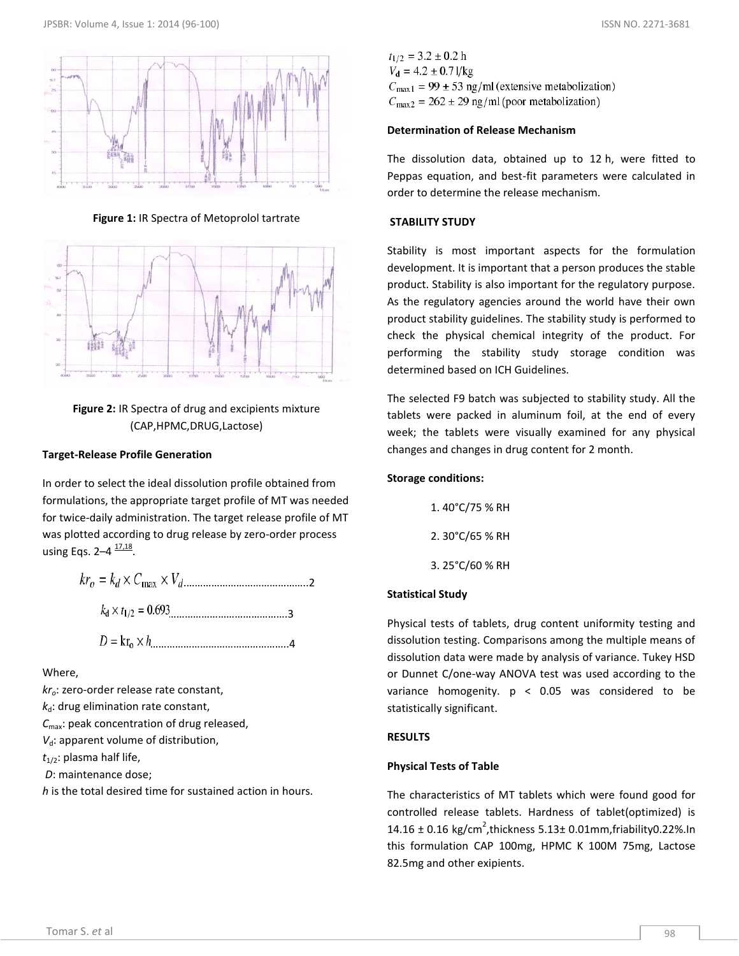

**Figure 1:** IR Spectra of Metoprolol tartrate



**Figure 2:** IR Spectra of drug and excipients mixture (CAP,HPMC,DRUG,Lactose)

#### **Target-Release Profile Generation**

In order to select the ideal dissolution profile obtained from formulations, the appropriate target profile of MT was needed for twice-daily administration. The target release profile of MT was plotted according to drug release by zero-order process using Eqs. 2–4  $\frac{17,18}{17,18}$ .

$$
kr_o = k_d \times C_{\text{max}} \times V_{d \dots}
$$
  

$$
k_d \times t_{1/2} = 0.693 \dots
$$
  

$$
D = kr_o \times h \dots
$$

Where,

*kro*: zero-order release rate constant,  $k_d$ : drug elimination rate constant,

*C*max: peak concentration of drug released,

*V*<sub>d</sub>: apparent volume of distribution,

*t*1/2: plasma half life,

*D*: maintenance dose;

*h* is the total desired time for sustained action in hours.

 $t_{1/2} = 3.2 \pm 0.2$  h  $V_d = 4.2 \pm 0.71/kg$  $C_{\text{max1}} = 99 \pm 53$  ng/ml (extensive metabolization)  $C_{\text{max2}} = 262 \pm 29$  ng/ml (poor metabolization)

#### **Determination of Release Mechanism**

The dissolution data, obtained up to 12 h, were fitted to Peppas equation, and best-fit parameters were calculated in order to determine the release mechanism.

#### **STABILITY STUDY**

Stability is most important aspects for the formulation development. It is important that a person produces the stable product. Stability is also important for the regulatory purpose. As the regulatory agencies around the world have their own product stability guidelines. The stability study is performed to check the physical chemical integrity of the product. For performing the stability study storage condition was determined based on ICH Guidelines.

The selected F9 batch was subjected to stability study. All the tablets were packed in aluminum foil, at the end of every week; the tablets were visually examined for any physical changes and changes in drug content for 2 month.

#### **Storage conditions:**

1. 40°C/75 % RH 2. 30°C/65 % RH 3. 25°C/60 % RH

#### **Statistical Study**

Physical tests of tablets, drug content uniformity testing and dissolution testing. Comparisons among the multiple means of dissolution data were made by analysis of variance. Tukey HSD or Dunnet C/one-way ANOVA test was used according to the variance homogenity.  $p < 0.05$  was considered to be statistically significant.

#### **RESULTS**

#### **Physical Tests of Table**

The characteristics of MT tablets which were found good for controlled release tablets. Hardness of tablet(optimized) is  $14.16 \pm 0.16$  kg/cm<sup>2</sup>, thickness  $5.13 \pm 0.01$ mm, friability 0.22%. In this formulation CAP 100mg, HPMC K 100M 75mg, Lactose 82.5mg and other exipients.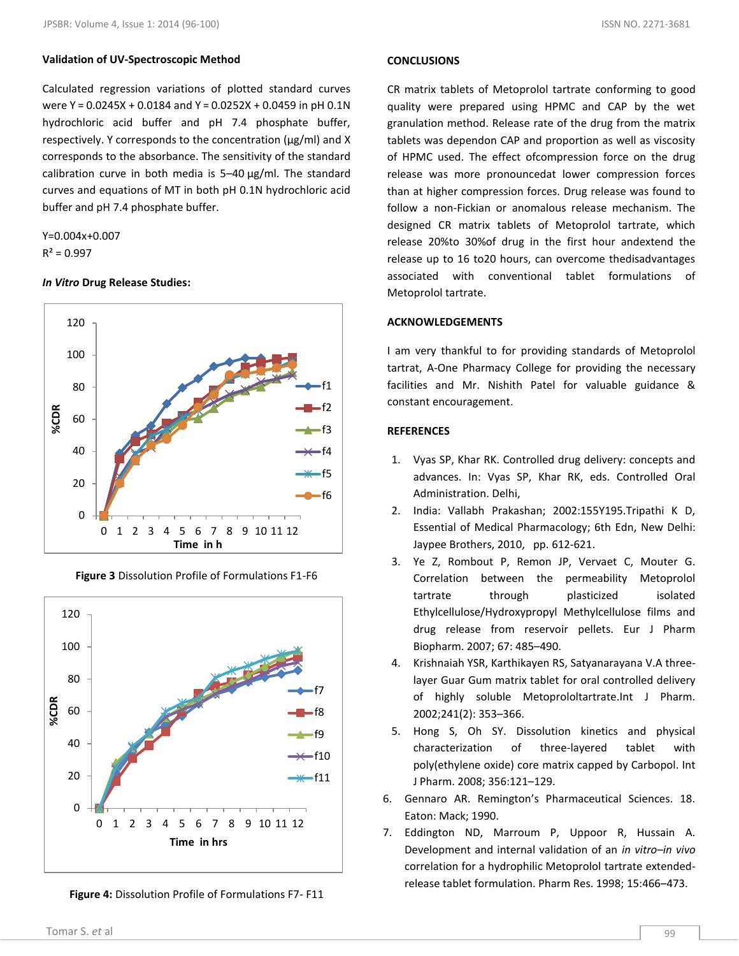## **Validation of UV-Spectroscopic Method**

Calculated regression variations of plotted standard curves were Y = 0.0245X + 0.0184 and Y = 0.0252X + 0.0459 in pH 0.1N hydrochloric acid buffer and pH 7.4 phosphate buffer, respectively. Y corresponds to the concentration (μg/ml) and X corresponds to the absorbance. The sensitivity of the standard calibration curve in both media is 5–40 μg/ml. The standard curves and equations of MT in both pH 0.1N hydrochloric acid buffer and pH 7.4 phosphate buffer.

Y=0.004x+0.007  $R^2 = 0.997$ 

# *In Vitro* **Drug Release Studies:**



**Figure 3** Dissolution Profile of Formulations F1-F6



**Figure 4:** Dissolution Profile of Formulations F7- F11

### **CONCLUSIONS**

CR matrix tablets of Metoprolol tartrate conforming to good quality were prepared using HPMC and CAP by the wet granulation method. Release rate of the drug from the matrix tablets was dependon CAP and proportion as well as viscosity of HPMC used. The effect ofcompression force on the drug release was more pronouncedat lower compression forces than at higher compression forces. Drug release was found to follow a non-Fickian or anomalous release mechanism. The designed CR matrix tablets of Metoprolol tartrate, which release 20%to 30%of drug in the first hour andextend the release up to 16 to20 hours, can overcome thedisadvantages associated with conventional tablet formulations of Metoprolol tartrate.

#### **ACKNOWLEDGEMENTS**

I am very thankful to for providing standards of Metoprolol tartrat, A-One Pharmacy College for providing the necessary facilities and Mr. Nishith Patel for valuable guidance & constant encouragement.

#### **REFERENCES**

- 1. Vyas SP, Khar RK. Controlled drug delivery: concepts and advances. In: Vyas SP, Khar RK, eds. Controlled Oral Administration. Delhi,
- 2. India: Vallabh Prakashan; 2002:155Y195.Tripathi K D, Essential of Medical Pharmacology; 6th Edn, New Delhi: Jaypee Brothers, 2010, pp. 612-621.
- 3. Ye Z, Rombout P, Remon JP, Vervaet C, Mouter G. Correlation between the permeability Metoprolol tartrate through plasticized isolated Ethylcellulose/Hydroxypropyl Methylcellulose films and drug release from reservoir pellets. Eur J Pharm Biopharm. 2007; 67: 485–490.
- 4. Krishnaiah YSR, Karthikayen RS, Satyanarayana V.A threelayer Guar Gum matrix tablet for oral controlled delivery of highly soluble Metoprololtartrate.Int J Pharm. 2002;241(2): 353–366.
- 5. Hong S, Oh SY. Dissolution kinetics and physical characterization of three-layered tablet with poly(ethylene oxide) core matrix capped by Carbopol. Int J Pharm. 2008; 356:121–129.
- 6. Gennaro AR. Remington's Pharmaceutical Sciences. 18. Eaton: Mack; 1990.
- 7. Eddington ND, Marroum P, Uppoor R, Hussain A. Development and internal validation of an *in vitro*–*in vivo* correlation for a hydrophilic Metoprolol tartrate extendedrelease tablet formulation. Pharm Res. 1998; 15:466–473.